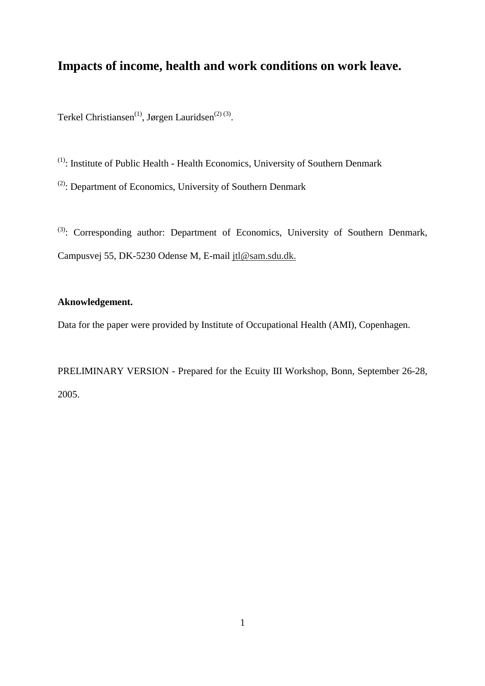# **Impacts of income, health and work conditions on work leave.**

Terkel Christiansen<sup>(1)</sup>, Jørgen Lauridsen<sup>(2)(3)</sup>.

(1): Institute of Public Health - Health Economics, University of Southern Denmark

(2): Department of Economics, University of Southern Denmark

<sup>(3)</sup>: Corresponding author: Department of Economics, University of Southern Denmark, Campusvej 55, DK-5230 Odense M, E-mail jtl@sam.sdu.dk.

# **Aknowledgement.**

Data for the paper were provided by Institute of Occupational Health (AMI), Copenhagen.

PRELIMINARY VERSION - Prepared for the Ecuity III Workshop, Bonn, September 26-28, 2005.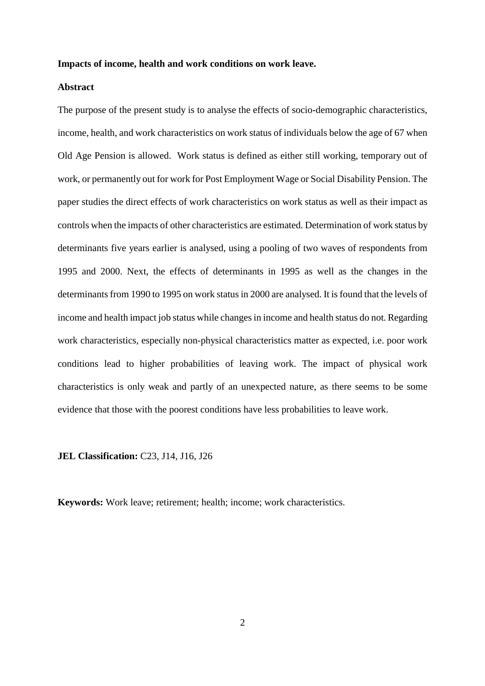#### **Impacts of income, health and work conditions on work leave.**

### **Abstract**

The purpose of the present study is to analyse the effects of socio-demographic characteristics, income, health, and work characteristics on work status of individuals below the age of 67 when Old Age Pension is allowed. Work status is defined as either still working, temporary out of work, or permanently out for work for Post Employment Wage or Social Disability Pension. The paper studies the direct effects of work characteristics on work status as well as their impact as controls when the impacts of other characteristics are estimated. Determination of work status by determinants five years earlier is analysed, using a pooling of two waves of respondents from 1995 and 2000. Next, the effects of determinants in 1995 as well as the changes in the determinants from 1990 to 1995 on work status in 2000 are analysed. It is found that the levels of income and health impact job status while changes in income and health status do not. Regarding work characteristics, especially non-physical characteristics matter as expected, i.e. poor work conditions lead to higher probabilities of leaving work. The impact of physical work characteristics is only weak and partly of an unexpected nature, as there seems to be some evidence that those with the poorest conditions have less probabilities to leave work.

**JEL Classification:** C23, J14, J16, J26

**Keywords:** Work leave; retirement; health; income; work characteristics.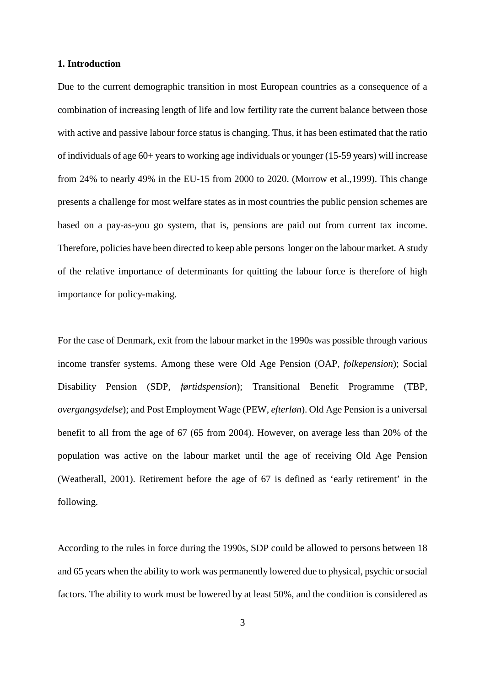#### **1. Introduction**

Due to the current demographic transition in most European countries as a consequence of a combination of increasing length of life and low fertility rate the current balance between those with active and passive labour force status is changing. Thus, it has been estimated that the ratio of individuals of age 60+ years to working age individuals or younger (15-59 years) will increase from 24% to nearly 49% in the EU-15 from 2000 to 2020. (Morrow et al.,1999). This change presents a challenge for most welfare states as in most countries the public pension schemes are based on a pay-as-you go system, that is, pensions are paid out from current tax income. Therefore, policies have been directed to keep able persons longer on the labour market. A study of the relative importance of determinants for quitting the labour force is therefore of high importance for policy-making.

For the case of Denmark, exit from the labour market in the 1990s was possible through various income transfer systems. Among these were Old Age Pension (OAP, *folkepension*); Social Disability Pension (SDP, *førtidspension*); Transitional Benefit Programme (TBP, *overgangsydelse*); and Post Employment Wage (PEW, *efterløn*). Old Age Pension is a universal benefit to all from the age of 67 (65 from 2004). However, on average less than 20% of the population was active on the labour market until the age of receiving Old Age Pension (Weatherall, 2001). Retirement before the age of 67 is defined as 'early retirement' in the following.

According to the rules in force during the 1990s, SDP could be allowed to persons between 18 and 65 years when the ability to work was permanently lowered due to physical, psychic or social factors. The ability to work must be lowered by at least 50%, and the condition is considered as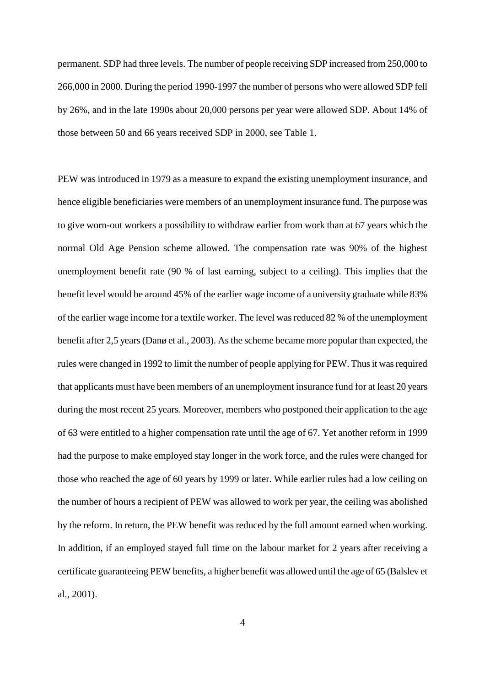permanent. SDP had three levels. The number of people receiving SDP increased from 250,000 to 266,000 in 2000. During the period 1990-1997 the number of persons who were allowed SDP fell by 26%, and in the late 1990s about 20,000 persons per year were allowed SDP. About 14% of those between 50 and 66 years received SDP in 2000, see Table 1.

PEW was introduced in 1979 as a measure to expand the existing unemployment insurance, and hence eligible beneficiaries were members of an unemployment insurance fund. The purpose was to give worn-out workers a possibility to withdraw earlier from work than at 67 years which the normal Old Age Pension scheme allowed. The compensation rate was 90% of the highest unemployment benefit rate (90 % of last earning, subject to a ceiling). This implies that the benefit level would be around 45% of the earlier wage income of a university graduate while 83% of the earlier wage income for a textile worker. The level was reduced 82 % of the unemployment benefit after 2,5 years (Danø et al., 2003). As the scheme became more popular than expected, the rules were changed in 1992 to limit the number of people applying for PEW. Thus it was required that applicants must have been members of an unemployment insurance fund for at least 20 years during the most recent 25 years. Moreover, members who postponed their application to the age of 63 were entitled to a higher compensation rate until the age of 67. Yet another reform in 1999 had the purpose to make employed stay longer in the work force, and the rules were changed for those who reached the age of 60 years by 1999 or later. While earlier rules had a low ceiling on the number of hours a recipient of PEW was allowed to work per year, the ceiling was abolished by the reform. In return, the PEW benefit was reduced by the full amount earned when working. In addition, if an employed stayed full time on the labour market for 2 years after receiving a certificate guaranteeing PEW benefits, a higher benefit was allowed until the age of 65 (Balslev et al., 2001).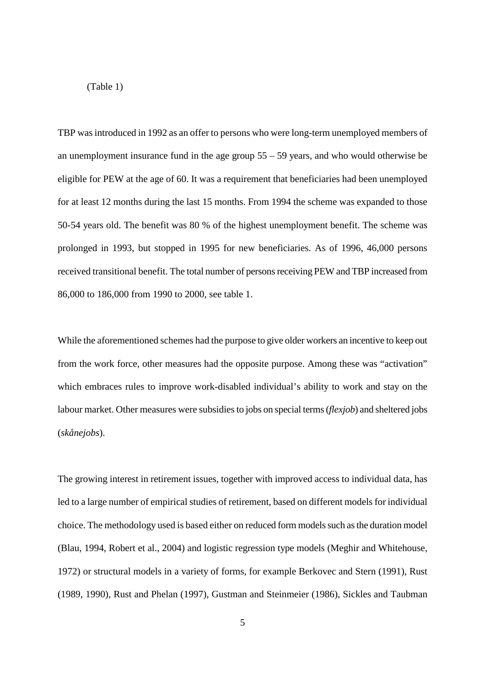(Table 1)

TBP was introduced in 1992 as an offer to persons who were long-term unemployed members of an unemployment insurance fund in the age group  $55 - 59$  years, and who would otherwise be eligible for PEW at the age of 60. It was a requirement that beneficiaries had been unemployed for at least 12 months during the last 15 months. From 1994 the scheme was expanded to those 50-54 years old. The benefit was 80 % of the highest unemployment benefit. The scheme was prolonged in 1993, but stopped in 1995 for new beneficiaries. As of 1996, 46,000 persons received transitional benefit. The total number of persons receiving PEW and TBP increased from 86,000 to 186,000 from 1990 to 2000, see table 1.

While the aforementioned schemes had the purpose to give older workers an incentive to keep out from the work force, other measures had the opposite purpose. Among these was "activation" which embraces rules to improve work-disabled individual's ability to work and stay on the labour market. Other measures were subsidies to jobs on special terms (*flexjob*) and sheltered jobs (*skånejobs*).

The growing interest in retirement issues, together with improved access to individual data, has led to a large number of empirical studies of retirement, based on different models for individual choice. The methodology used is based either on reduced form models such as the duration model (Blau, 1994, Robert et al., 2004) and logistic regression type models (Meghir and Whitehouse, 1972) or structural models in a variety of forms, for example Berkovec and Stern (1991), Rust (1989, 1990), Rust and Phelan (1997), Gustman and Steinmeier (1986), Sickles and Taubman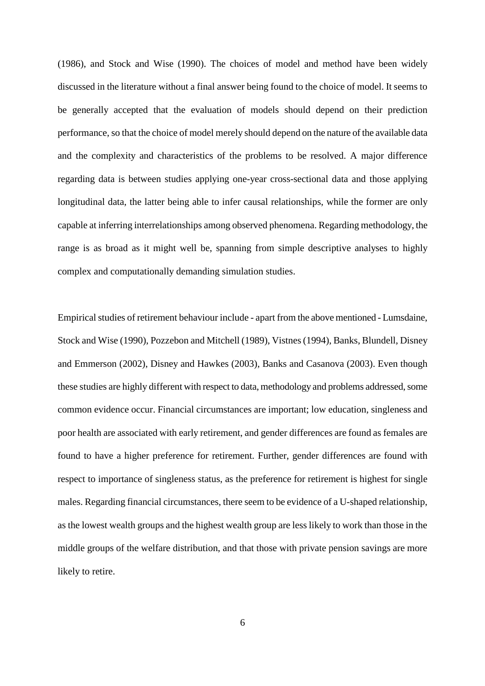(1986), and Stock and Wise (1990). The choices of model and method have been widely discussed in the literature without a final answer being found to the choice of model. It seems to be generally accepted that the evaluation of models should depend on their prediction performance, so that the choice of model merely should depend on the nature of the available data and the complexity and characteristics of the problems to be resolved. A major difference regarding data is between studies applying one-year cross-sectional data and those applying longitudinal data, the latter being able to infer causal relationships, while the former are only capable at inferring interrelationships among observed phenomena. Regarding methodology, the range is as broad as it might well be, spanning from simple descriptive analyses to highly complex and computationally demanding simulation studies.

Empirical studies of retirement behaviour include - apart from the above mentioned - Lumsdaine, Stock and Wise (1990), Pozzebon and Mitchell (1989), Vistnes (1994), Banks, Blundell, Disney and Emmerson (2002), Disney and Hawkes (2003), Banks and Casanova (2003). Even though these studies are highly different with respect to data, methodology and problems addressed, some common evidence occur. Financial circumstances are important; low education, singleness and poor health are associated with early retirement, and gender differences are found as females are found to have a higher preference for retirement. Further, gender differences are found with respect to importance of singleness status, as the preference for retirement is highest for single males. Regarding financial circumstances, there seem to be evidence of a U-shaped relationship, as the lowest wealth groups and the highest wealth group are less likely to work than those in the middle groups of the welfare distribution, and that those with private pension savings are more likely to retire.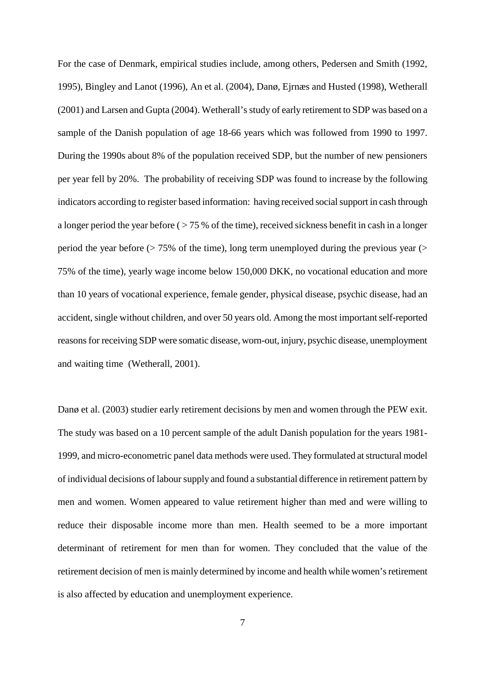For the case of Denmark, empirical studies include, among others, Pedersen and Smith (1992, 1995), Bingley and Lanot (1996), An et al. (2004), Danø, Ejrnæs and Husted (1998), Wetherall (2001) and Larsen and Gupta (2004). Wetherall's study of early retirement to SDP was based on a sample of the Danish population of age 18-66 years which was followed from 1990 to 1997. During the 1990s about 8% of the population received SDP, but the number of new pensioners per year fell by 20%. The probability of receiving SDP was found to increase by the following indicators according to register based information: having received social support in cash through a longer period the year before ( $> 75$ % of the time), received sickness benefit in cash in a longer period the year before  $($  > 75% of the time), long term unemployed during the previous year  $($  > 75% of the time), yearly wage income below 150,000 DKK, no vocational education and more than 10 years of vocational experience, female gender, physical disease, psychic disease, had an accident, single without children, and over 50 years old. Among the most important self-reported reasons for receiving SDP were somatic disease, worn-out, injury, psychic disease, unemployment and waiting time (Wetherall, 2001).

Danø et al. (2003) studier early retirement decisions by men and women through the PEW exit. The study was based on a 10 percent sample of the adult Danish population for the years 1981- 1999, and micro-econometric panel data methods were used. They formulated at structural model of individual decisions of labour supply and found a substantial difference in retirement pattern by men and women. Women appeared to value retirement higher than med and were willing to reduce their disposable income more than men. Health seemed to be a more important determinant of retirement for men than for women. They concluded that the value of the retirement decision of men is mainly determined by income and health while women's retirement is also affected by education and unemployment experience.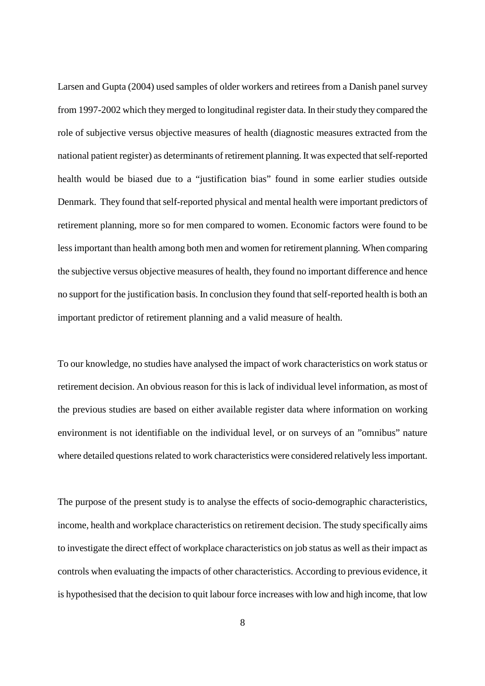Larsen and Gupta (2004) used samples of older workers and retirees from a Danish panel survey from 1997-2002 which they merged to longitudinal register data. In their study they compared the role of subjective versus objective measures of health (diagnostic measures extracted from the national patient register) as determinants of retirement planning. It was expected that self-reported health would be biased due to a "justification bias" found in some earlier studies outside Denmark. They found that self-reported physical and mental health were important predictors of retirement planning, more so for men compared to women. Economic factors were found to be less important than health among both men and women for retirement planning. When comparing the subjective versus objective measures of health, they found no important difference and hence no support for the justification basis. In conclusion they found that self-reported health is both an important predictor of retirement planning and a valid measure of health.

To our knowledge, no studies have analysed the impact of work characteristics on work status or retirement decision. An obvious reason for this is lack of individual level information, as most of the previous studies are based on either available register data where information on working environment is not identifiable on the individual level, or on surveys of an "omnibus" nature where detailed questions related to work characteristics were considered relatively less important.

The purpose of the present study is to analyse the effects of socio-demographic characteristics, income, health and workplace characteristics on retirement decision. The study specifically aims to investigate the direct effect of workplace characteristics on job status as well as their impact as controls when evaluating the impacts of other characteristics. According to previous evidence, it is hypothesised that the decision to quit labour force increases with low and high income, that low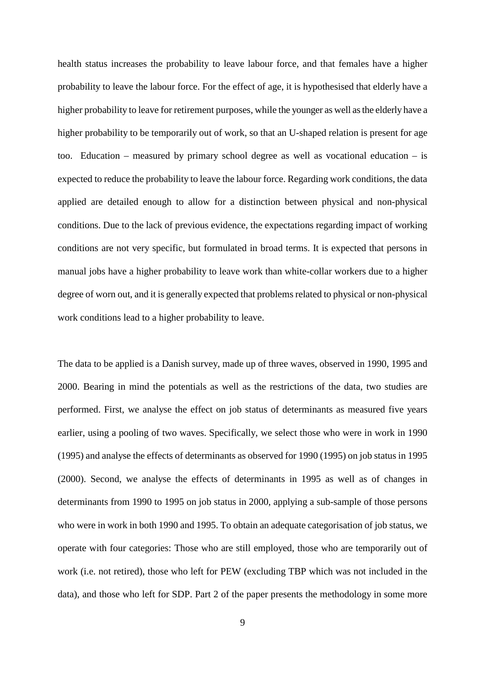health status increases the probability to leave labour force, and that females have a higher probability to leave the labour force. For the effect of age, it is hypothesised that elderly have a higher probability to leave for retirement purposes, while the younger as well as the elderly have a higher probability to be temporarily out of work, so that an U-shaped relation is present for age too. Education – measured by primary school degree as well as vocational education – is expected to reduce the probability to leave the labour force. Regarding work conditions, the data applied are detailed enough to allow for a distinction between physical and non-physical conditions. Due to the lack of previous evidence, the expectations regarding impact of working conditions are not very specific, but formulated in broad terms. It is expected that persons in manual jobs have a higher probability to leave work than white-collar workers due to a higher degree of worn out, and it is generally expected that problems related to physical or non-physical work conditions lead to a higher probability to leave.

The data to be applied is a Danish survey, made up of three waves, observed in 1990, 1995 and 2000. Bearing in mind the potentials as well as the restrictions of the data, two studies are performed. First, we analyse the effect on job status of determinants as measured five years earlier, using a pooling of two waves. Specifically, we select those who were in work in 1990 (1995) and analyse the effects of determinants as observed for 1990 (1995) on job status in 1995 (2000). Second, we analyse the effects of determinants in 1995 as well as of changes in determinants from 1990 to 1995 on job status in 2000, applying a sub-sample of those persons who were in work in both 1990 and 1995. To obtain an adequate categorisation of job status, we operate with four categories: Those who are still employed, those who are temporarily out of work (i.e. not retired), those who left for PEW (excluding TBP which was not included in the data), and those who left for SDP. Part 2 of the paper presents the methodology in some more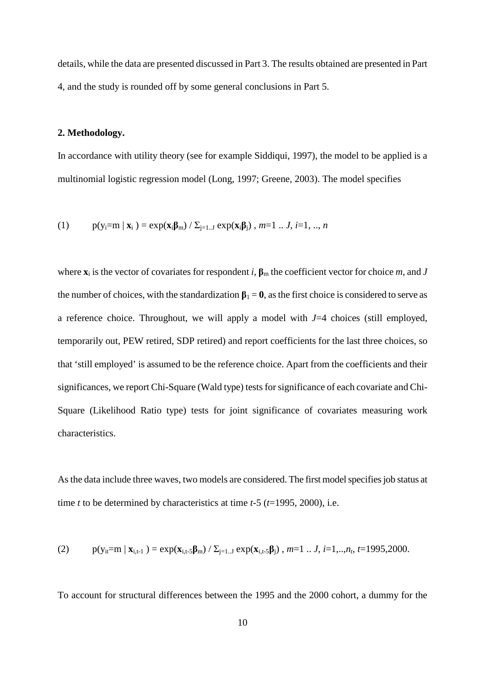details, while the data are presented discussed in Part 3. The results obtained are presented in Part 4, and the study is rounded off by some general conclusions in Part 5.

## **2. Methodology.**

In accordance with utility theory (see for example Siddiqui, 1997), the model to be applied is a multinomial logistic regression model (Long, 1997; Greene, 2003). The model specifies

(1) 
$$
p(y_i=m | x_i) = exp(x_i\beta_m) / \sum_{j=1..J} exp(x_i\beta_j), m=1..J, i=1,..,n
$$

where  $\mathbf{x}_i$  is the vector of covariates for respondent *i*,  $\beta_m$  the coefficient vector for choice *m*, and *J* the number of choices, with the standardization  $\beta_1 = 0$ , as the first choice is considered to serve as a reference choice. Throughout, we will apply a model with *J*=4 choices (still employed, temporarily out, PEW retired, SDP retired) and report coefficients for the last three choices, so that 'still employed' is assumed to be the reference choice. Apart from the coefficients and their significances, we report Chi-Square (Wald type) tests for significance of each covariate and Chi-Square (Likelihood Ratio type) tests for joint significance of covariates measuring work characteristics.

As the data include three waves, two models are considered. The first model specifies job status at time *t* to be determined by characteristics at time *t*-5 (*t*=1995, 2000), i.e.

(2) 
$$
p(y_{it} = m | x_{i,t-1}) = exp(x_{i,t-5}\beta_m) / \sum_{j=1..J} exp(x_{i,t-5}\beta_j)
$$
,  $m=1...J$ ,  $i=1,..,n_t$ ,  $t=1995,2000$ .

To account for structural differences between the 1995 and the 2000 cohort, a dummy for the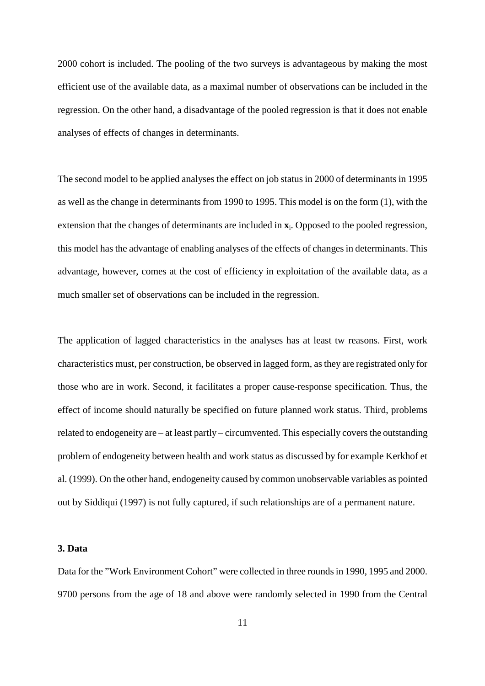2000 cohort is included. The pooling of the two surveys is advantageous by making the most efficient use of the available data, as a maximal number of observations can be included in the regression. On the other hand, a disadvantage of the pooled regression is that it does not enable analyses of effects of changes in determinants.

The second model to be applied analyses the effect on job status in 2000 of determinants in 1995 as well as the change in determinants from 1990 to 1995. This model is on the form (1), with the extension that the changes of determinants are included in **x**i. Opposed to the pooled regression, this model has the advantage of enabling analyses of the effects of changes in determinants. This advantage, however, comes at the cost of efficiency in exploitation of the available data, as a much smaller set of observations can be included in the regression.

The application of lagged characteristics in the analyses has at least tw reasons. First, work characteristics must, per construction, be observed in lagged form, as they are registrated only for those who are in work. Second, it facilitates a proper cause-response specification. Thus, the effect of income should naturally be specified on future planned work status. Third, problems related to endogeneity are – at least partly – circumvented. This especially covers the outstanding problem of endogeneity between health and work status as discussed by for example Kerkhof et al. (1999). On the other hand, endogeneity caused by common unobservable variables as pointed out by Siddiqui (1997) is not fully captured, if such relationships are of a permanent nature.

## **3. Data**

Data for the "Work Environment Cohort" were collected in three rounds in 1990, 1995 and 2000. 9700 persons from the age of 18 and above were randomly selected in 1990 from the Central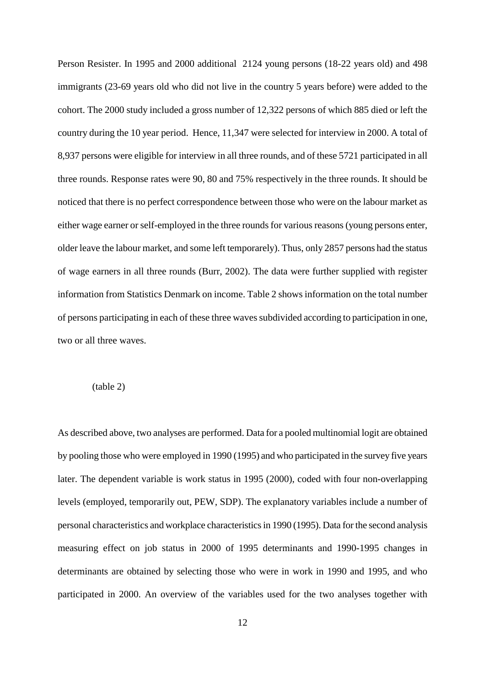Person Resister. In 1995 and 2000 additional 2124 young persons (18-22 years old) and 498 immigrants (23-69 years old who did not live in the country 5 years before) were added to the cohort. The 2000 study included a gross number of 12,322 persons of which 885 died or left the country during the 10 year period. Hence, 11,347 were selected for interview in 2000. A total of 8,937 persons were eligible for interview in all three rounds, and of these 5721 participated in all three rounds. Response rates were 90, 80 and 75% respectively in the three rounds. It should be noticed that there is no perfect correspondence between those who were on the labour market as either wage earner or self-employed in the three rounds for various reasons (young persons enter, older leave the labour market, and some left temporarely). Thus, only 2857 persons had the status of wage earners in all three rounds (Burr, 2002). The data were further supplied with register information from Statistics Denmark on income. Table 2 shows information on the total number of persons participating in each of these three waves subdivided according to participation in one, two or all three waves.

#### (table 2)

As described above, two analyses are performed. Data for a pooled multinomial logit are obtained by pooling those who were employed in 1990 (1995) and who participated in the survey five years later. The dependent variable is work status in 1995 (2000), coded with four non-overlapping levels (employed, temporarily out, PEW, SDP). The explanatory variables include a number of personal characteristics and workplace characteristics in 1990 (1995). Data for the second analysis measuring effect on job status in 2000 of 1995 determinants and 1990-1995 changes in determinants are obtained by selecting those who were in work in 1990 and 1995, and who participated in 2000. An overview of the variables used for the two analyses together with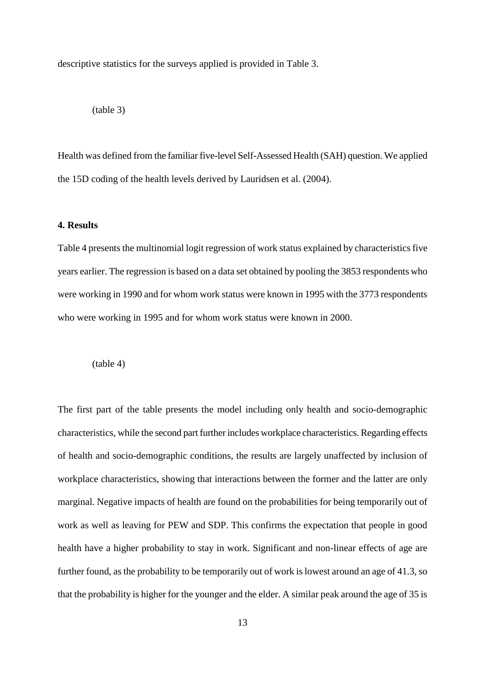descriptive statistics for the surveys applied is provided in Table 3.

$$
(table 3)
$$

Health was defined from the familiar five-level Self-Assessed Health (SAH) question. We applied the 15D coding of the health levels derived by Lauridsen et al. (2004).

#### **4. Results**

Table 4 presents the multinomial logit regression of work status explained by characteristics five years earlier. The regression is based on a data set obtained by pooling the 3853 respondents who were working in 1990 and for whom work status were known in 1995 with the 3773 respondents who were working in 1995 and for whom work status were known in 2000.

(table 4)

The first part of the table presents the model including only health and socio-demographic characteristics, while the second part further includes workplace characteristics. Regarding effects of health and socio-demographic conditions, the results are largely unaffected by inclusion of workplace characteristics, showing that interactions between the former and the latter are only marginal. Negative impacts of health are found on the probabilities for being temporarily out of work as well as leaving for PEW and SDP. This confirms the expectation that people in good health have a higher probability to stay in work. Significant and non-linear effects of age are further found, as the probability to be temporarily out of work is lowest around an age of 41.3, so that the probability is higher for the younger and the elder. A similar peak around the age of 35 is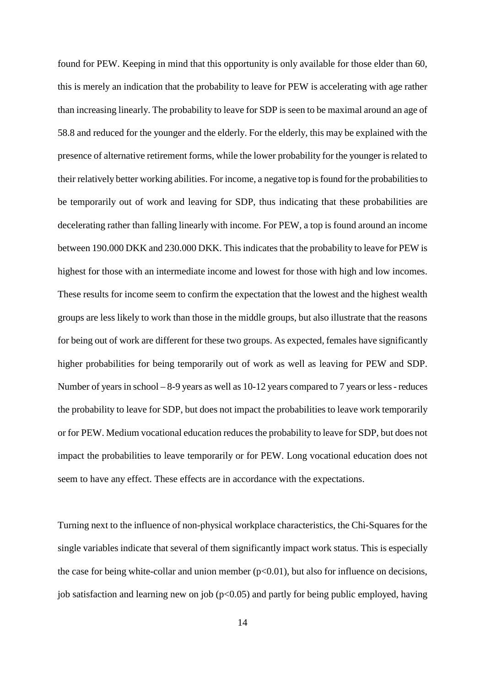found for PEW. Keeping in mind that this opportunity is only available for those elder than 60, this is merely an indication that the probability to leave for PEW is accelerating with age rather than increasing linearly. The probability to leave for SDP is seen to be maximal around an age of 58.8 and reduced for the younger and the elderly. For the elderly, this may be explained with the presence of alternative retirement forms, while the lower probability for the younger is related to their relatively better working abilities. For income, a negative top is found for the probabilities to be temporarily out of work and leaving for SDP, thus indicating that these probabilities are decelerating rather than falling linearly with income. For PEW, a top is found around an income between 190.000 DKK and 230.000 DKK. This indicates that the probability to leave for PEW is highest for those with an intermediate income and lowest for those with high and low incomes. These results for income seem to confirm the expectation that the lowest and the highest wealth groups are less likely to work than those in the middle groups, but also illustrate that the reasons for being out of work are different for these two groups. As expected, females have significantly higher probabilities for being temporarily out of work as well as leaving for PEW and SDP. Number of years in school – 8-9 years as well as 10-12 years compared to 7 years or less - reduces the probability to leave for SDP, but does not impact the probabilities to leave work temporarily or for PEW. Medium vocational education reduces the probability to leave for SDP, but does not impact the probabilities to leave temporarily or for PEW. Long vocational education does not seem to have any effect. These effects are in accordance with the expectations.

Turning next to the influence of non-physical workplace characteristics, the Chi-Squares for the single variables indicate that several of them significantly impact work status. This is especially the case for being white-collar and union member  $(p<0.01)$ , but also for influence on decisions, job satisfaction and learning new on job ( $p<0.05$ ) and partly for being public employed, having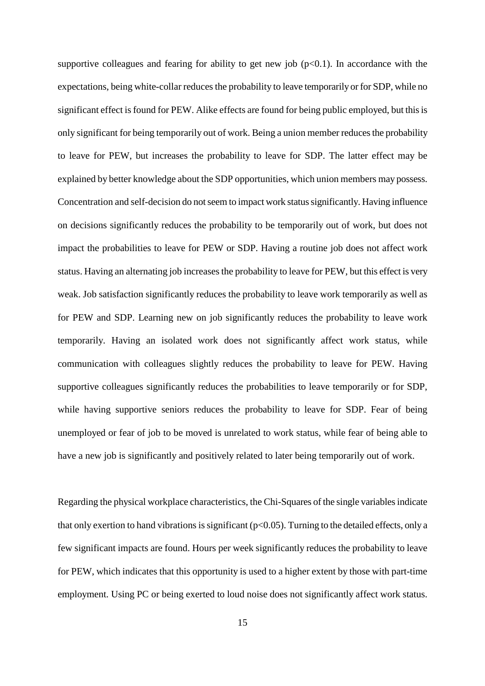supportive colleagues and fearing for ability to get new job  $(p<0.1)$ . In accordance with the expectations, being white-collar reduces the probability to leave temporarily or for SDP, while no significant effect is found for PEW. Alike effects are found for being public employed, but this is only significant for being temporarily out of work. Being a union member reduces the probability to leave for PEW, but increases the probability to leave for SDP. The latter effect may be explained by better knowledge about the SDP opportunities, which union members may possess. Concentration and self-decision do not seem to impact work status significantly. Having influence on decisions significantly reduces the probability to be temporarily out of work, but does not impact the probabilities to leave for PEW or SDP. Having a routine job does not affect work status. Having an alternating job increases the probability to leave for PEW, but this effect is very weak. Job satisfaction significantly reduces the probability to leave work temporarily as well as for PEW and SDP. Learning new on job significantly reduces the probability to leave work temporarily. Having an isolated work does not significantly affect work status, while communication with colleagues slightly reduces the probability to leave for PEW. Having supportive colleagues significantly reduces the probabilities to leave temporarily or for SDP, while having supportive seniors reduces the probability to leave for SDP. Fear of being unemployed or fear of job to be moved is unrelated to work status, while fear of being able to have a new job is significantly and positively related to later being temporarily out of work.

Regarding the physical workplace characteristics, the Chi-Squares of the single variables indicate that only exertion to hand vibrations is significant ( $p<0.05$ ). Turning to the detailed effects, only a few significant impacts are found. Hours per week significantly reduces the probability to leave for PEW, which indicates that this opportunity is used to a higher extent by those with part-time employment. Using PC or being exerted to loud noise does not significantly affect work status.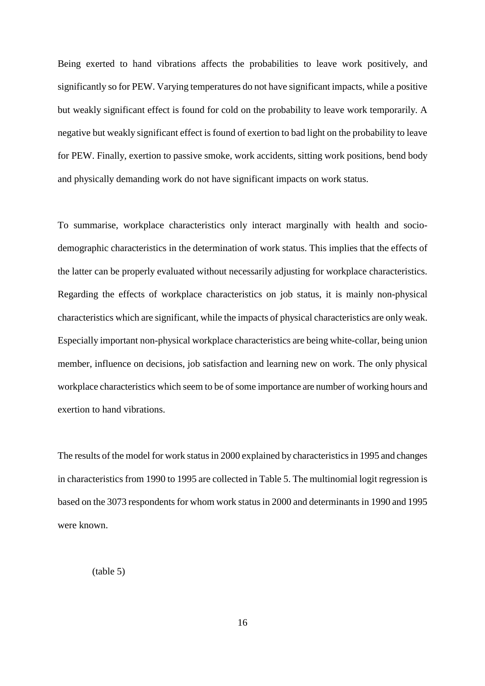Being exerted to hand vibrations affects the probabilities to leave work positively, and significantly so for PEW. Varying temperatures do not have significant impacts, while a positive but weakly significant effect is found for cold on the probability to leave work temporarily. A negative but weakly significant effect is found of exertion to bad light on the probability to leave for PEW. Finally, exertion to passive smoke, work accidents, sitting work positions, bend body and physically demanding work do not have significant impacts on work status.

To summarise, workplace characteristics only interact marginally with health and sociodemographic characteristics in the determination of work status. This implies that the effects of the latter can be properly evaluated without necessarily adjusting for workplace characteristics. Regarding the effects of workplace characteristics on job status, it is mainly non-physical characteristics which are significant, while the impacts of physical characteristics are only weak. Especially important non-physical workplace characteristics are being white-collar, being union member, influence on decisions, job satisfaction and learning new on work. The only physical workplace characteristics which seem to be of some importance are number of working hours and exertion to hand vibrations.

The results of the model for work status in 2000 explained by characteristics in 1995 and changes in characteristics from 1990 to 1995 are collected in Table 5. The multinomial logit regression is based on the 3073 respondents for whom work status in 2000 and determinants in 1990 and 1995 were known.

(table 5)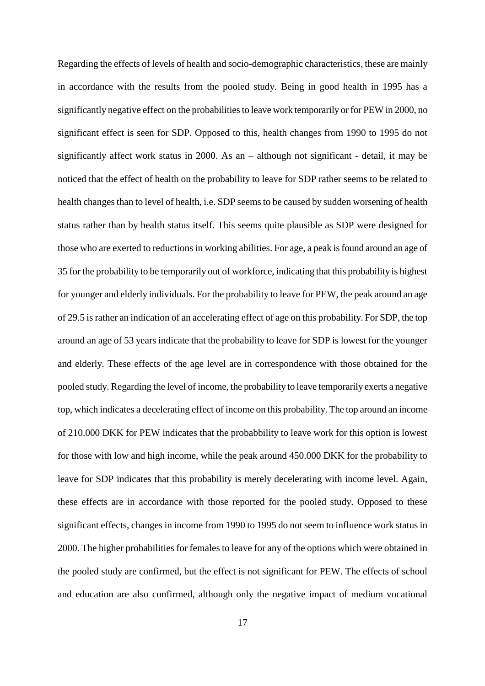Regarding the effects of levels of health and socio-demographic characteristics, these are mainly in accordance with the results from the pooled study. Being in good health in 1995 has a significantly negative effect on the probabilities to leave work temporarily or for PEW in 2000, no significant effect is seen for SDP. Opposed to this, health changes from 1990 to 1995 do not significantly affect work status in 2000. As an – although not significant - detail, it may be noticed that the effect of health on the probability to leave for SDP rather seems to be related to health changes than to level of health, i.e. SDP seems to be caused by sudden worsening of health status rather than by health status itself. This seems quite plausible as SDP were designed for those who are exerted to reductions in working abilities. For age, a peak is found around an age of 35 for the probability to be temporarily out of workforce, indicating that this probability is highest for younger and elderly individuals. For the probability to leave for PEW, the peak around an age of 29.5 is rather an indication of an accelerating effect of age on this probability. For SDP, the top around an age of 53 years indicate that the probability to leave for SDP is lowest for the younger and elderly. These effects of the age level are in correspondence with those obtained for the pooled study. Regarding the level of income, the probability to leave temporarily exerts a negative top, which indicates a decelerating effect of income on this probability. The top around an income of 210.000 DKK for PEW indicates that the probabbility to leave work for this option is lowest for those with low and high income, while the peak around 450.000 DKK for the probability to leave for SDP indicates that this probability is merely decelerating with income level. Again, these effects are in accordance with those reported for the pooled study. Opposed to these significant effects, changes in income from 1990 to 1995 do not seem to influence work status in 2000. The higher probabilities for females to leave for any of the options which were obtained in the pooled study are confirmed, but the effect is not significant for PEW. The effects of school and education are also confirmed, although only the negative impact of medium vocational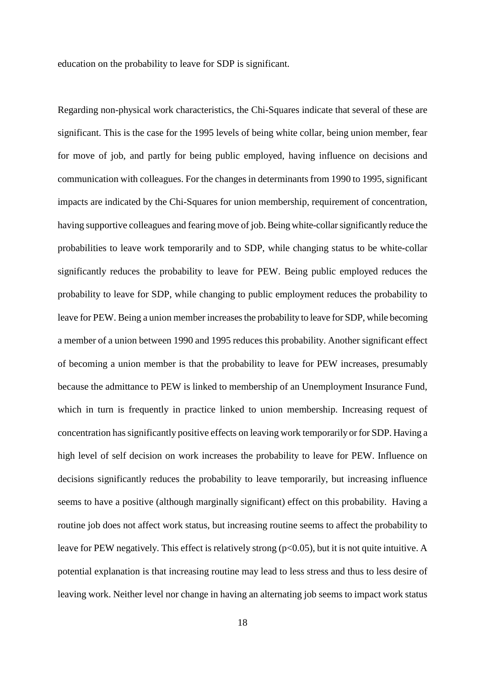education on the probability to leave for SDP is significant.

Regarding non-physical work characteristics, the Chi-Squares indicate that several of these are significant. This is the case for the 1995 levels of being white collar, being union member, fear for move of job, and partly for being public employed, having influence on decisions and communication with colleagues. For the changes in determinants from 1990 to 1995, significant impacts are indicated by the Chi-Squares for union membership, requirement of concentration, having supportive colleagues and fearing move of job. Being white-collar significantly reduce the probabilities to leave work temporarily and to SDP, while changing status to be white-collar significantly reduces the probability to leave for PEW. Being public employed reduces the probability to leave for SDP, while changing to public employment reduces the probability to leave for PEW. Being a union member increases the probability to leave for SDP, while becoming a member of a union between 1990 and 1995 reduces this probability. Another significant effect of becoming a union member is that the probability to leave for PEW increases, presumably because the admittance to PEW is linked to membership of an Unemployment Insurance Fund, which in turn is frequently in practice linked to union membership. Increasing request of concentration has significantly positive effects on leaving work temporarily or for SDP. Having a high level of self decision on work increases the probability to leave for PEW. Influence on decisions significantly reduces the probability to leave temporarily, but increasing influence seems to have a positive (although marginally significant) effect on this probability. Having a routine job does not affect work status, but increasing routine seems to affect the probability to leave for PEW negatively. This effect is relatively strong ( $p<0.05$ ), but it is not quite intuitive. A potential explanation is that increasing routine may lead to less stress and thus to less desire of leaving work. Neither level nor change in having an alternating job seems to impact work status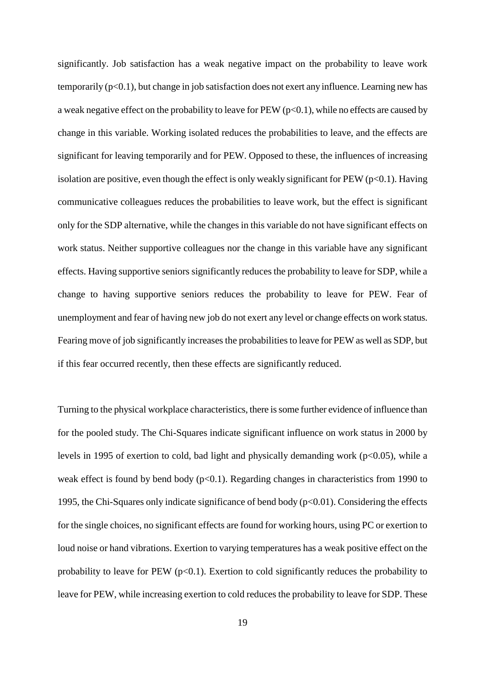significantly. Job satisfaction has a weak negative impact on the probability to leave work temporarily  $(p<0.1)$ , but change in job satisfaction does not exert any influence. Learning new has a weak negative effect on the probability to leave for PEW ( $p<0.1$ ), while no effects are caused by change in this variable. Working isolated reduces the probabilities to leave, and the effects are significant for leaving temporarily and for PEW. Opposed to these, the influences of increasing isolation are positive, even though the effect is only weakly significant for  $PEW (p<0.1)$ . Having communicative colleagues reduces the probabilities to leave work, but the effect is significant only for the SDP alternative, while the changes in this variable do not have significant effects on work status. Neither supportive colleagues nor the change in this variable have any significant effects. Having supportive seniors significantly reduces the probability to leave for SDP, while a change to having supportive seniors reduces the probability to leave for PEW. Fear of unemployment and fear of having new job do not exert any level or change effects on work status. Fearing move of job significantly increases the probabilities to leave for PEW as well as SDP, but if this fear occurred recently, then these effects are significantly reduced.

Turning to the physical workplace characteristics, there is some further evidence of influence than for the pooled study. The Chi-Squares indicate significant influence on work status in 2000 by levels in 1995 of exertion to cold, bad light and physically demanding work ( $p<0.05$ ), while a weak effect is found by bend body  $(p<0.1)$ . Regarding changes in characteristics from 1990 to 1995, the Chi-Squares only indicate significance of bend body (p<0.01). Considering the effects for the single choices, no significant effects are found for working hours, using PC or exertion to loud noise or hand vibrations. Exertion to varying temperatures has a weak positive effect on the probability to leave for PEW  $(p<0.1)$ . Exertion to cold significantly reduces the probability to leave for PEW, while increasing exertion to cold reduces the probability to leave for SDP. These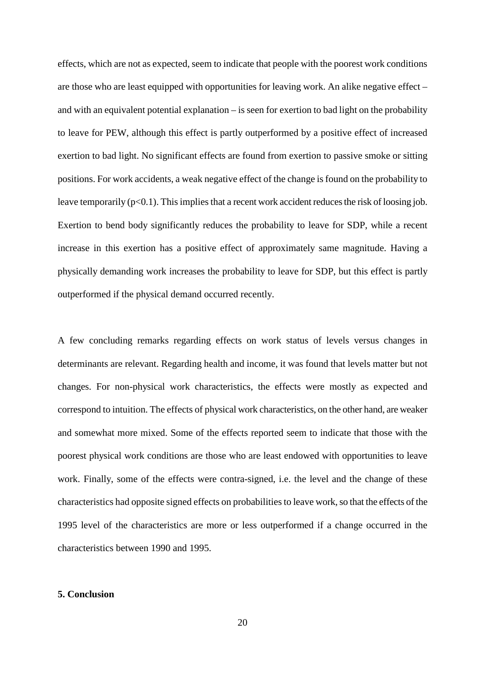effects, which are not as expected, seem to indicate that people with the poorest work conditions are those who are least equipped with opportunities for leaving work. An alike negative effect – and with an equivalent potential explanation – is seen for exertion to bad light on the probability to leave for PEW, although this effect is partly outperformed by a positive effect of increased exertion to bad light. No significant effects are found from exertion to passive smoke or sitting positions. For work accidents, a weak negative effect of the change is found on the probability to leave temporarily (p<0.1). This implies that a recent work accident reduces the risk of loosing job. Exertion to bend body significantly reduces the probability to leave for SDP, while a recent increase in this exertion has a positive effect of approximately same magnitude. Having a physically demanding work increases the probability to leave for SDP, but this effect is partly outperformed if the physical demand occurred recently.

A few concluding remarks regarding effects on work status of levels versus changes in determinants are relevant. Regarding health and income, it was found that levels matter but not changes. For non-physical work characteristics, the effects were mostly as expected and correspond to intuition. The effects of physical work characteristics, on the other hand, are weaker and somewhat more mixed. Some of the effects reported seem to indicate that those with the poorest physical work conditions are those who are least endowed with opportunities to leave work. Finally, some of the effects were contra-signed, i.e. the level and the change of these characteristics had opposite signed effects on probabilities to leave work, so that the effects of the 1995 level of the characteristics are more or less outperformed if a change occurred in the characteristics between 1990 and 1995.

#### **5. Conclusion**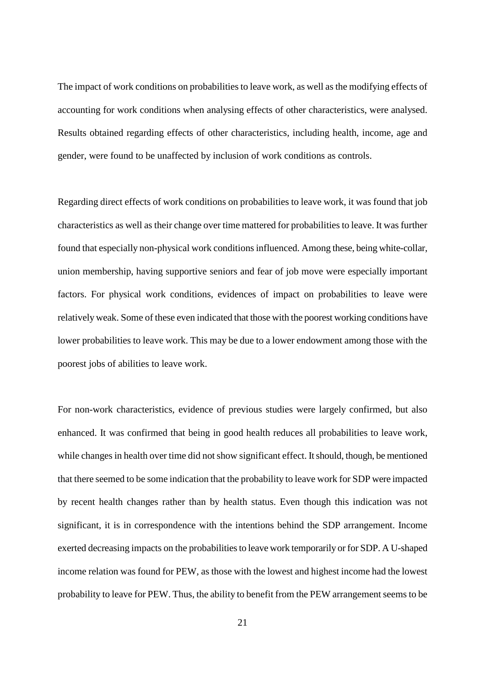The impact of work conditions on probabilities to leave work, as well as the modifying effects of accounting for work conditions when analysing effects of other characteristics, were analysed. Results obtained regarding effects of other characteristics, including health, income, age and gender, were found to be unaffected by inclusion of work conditions as controls.

Regarding direct effects of work conditions on probabilities to leave work, it was found that job characteristics as well as their change over time mattered for probabilities to leave. It was further found that especially non-physical work conditions influenced. Among these, being white-collar, union membership, having supportive seniors and fear of job move were especially important factors. For physical work conditions, evidences of impact on probabilities to leave were relatively weak. Some of these even indicated that those with the poorest working conditions have lower probabilities to leave work. This may be due to a lower endowment among those with the poorest jobs of abilities to leave work.

For non-work characteristics, evidence of previous studies were largely confirmed, but also enhanced. It was confirmed that being in good health reduces all probabilities to leave work, while changes in health over time did not show significant effect. It should, though, be mentioned that there seemed to be some indication that the probability to leave work for SDP were impacted by recent health changes rather than by health status. Even though this indication was not significant, it is in correspondence with the intentions behind the SDP arrangement. Income exerted decreasing impacts on the probabilities to leave work temporarily or for SDP. A U-shaped income relation was found for PEW, as those with the lowest and highest income had the lowest probability to leave for PEW. Thus, the ability to benefit from the PEW arrangement seems to be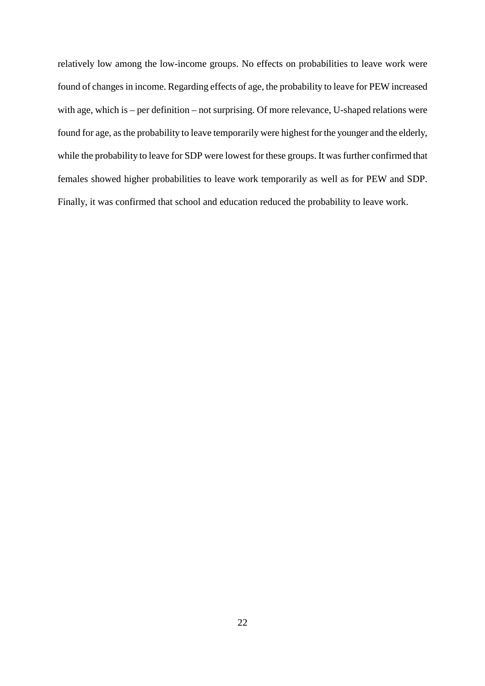relatively low among the low-income groups. No effects on probabilities to leave work were found of changes in income. Regarding effects of age, the probability to leave for PEW increased with age, which is – per definition – not surprising. Of more relevance, U-shaped relations were found for age, as the probability to leave temporarily were highest for the younger and the elderly, while the probability to leave for SDP were lowest for these groups. It was further confirmed that females showed higher probabilities to leave work temporarily as well as for PEW and SDP. Finally, it was confirmed that school and education reduced the probability to leave work.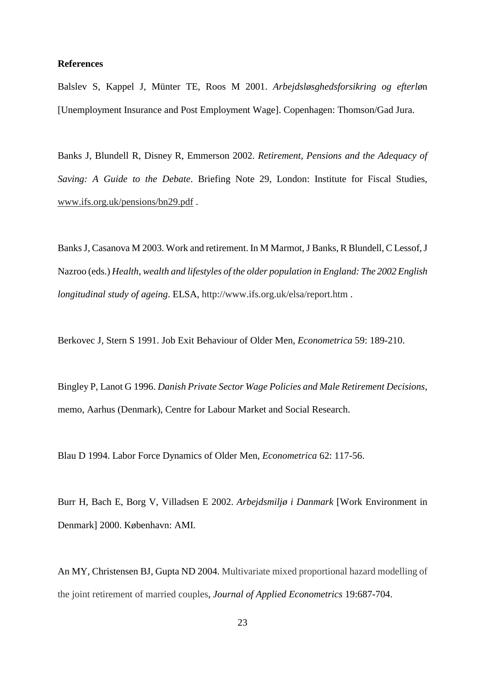#### **References**

Balslev S, Kappel J, Münter TE, Roos M 2001. *Arbejdsløsghedsforsikring og efterlø*n [Unemployment Insurance and Post Employment Wage]. Copenhagen: Thomson/Gad Jura.

Banks J, Blundell R, Disney R, Emmerson 2002. *Retirement, Pensions and the Adequacy of Saving: A Guide to the Debate*. Briefing Note 29, London: Institute for Fiscal Studies, www.ifs.org.uk/pensions/bn29.pdf .

Banks J, Casanova M 2003. Work and retirement. In M Marmot, J Banks, R Blundell, C Lessof, J Nazroo (eds.) *Health, wealth and lifestyles of the older population in England: The 2002 English longitudinal study of ageing*. ELSA, http://www.ifs.org.uk/elsa/report.htm .

Berkovec J, Stern S 1991. Job Exit Behaviour of Older Men, *Econometrica* 59: 189-210.

Bingley P, Lanot G 1996. *Danish Private Sector Wage Policies and Male Retirement Decisions*, memo, Aarhus (Denmark), Centre for Labour Market and Social Research.

Blau D 1994. Labor Force Dynamics of Older Men, *Econometrica* 62: 117-56.

Burr H, Bach E, Borg V, Villadsen E 2002. *Arbejdsmiljø i Danmark* [Work Environment in Denmark] 2000. København: AMI.

An MY, Christensen BJ, Gupta ND 2004. Multivariate mixed proportional hazard modelling of the joint retirement of married couples, *Journal of Applied Econometrics* 19:687-704.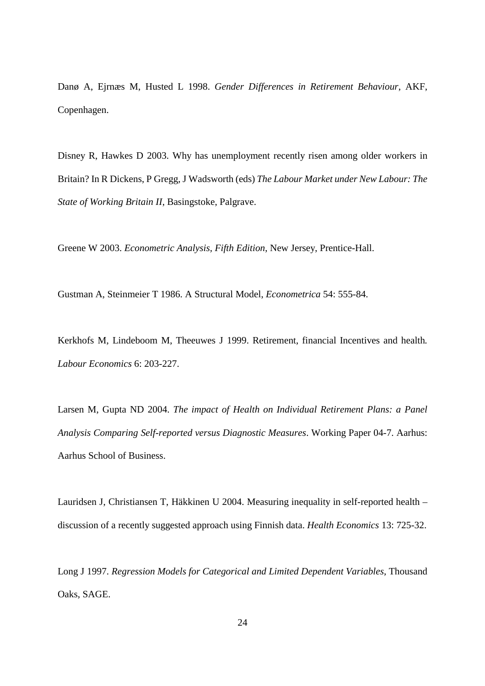Danø A, Ejrnæs M, Husted L 1998. *Gender Differences in Retirement Behaviour*, AKF, Copenhagen.

Disney R, Hawkes D 2003. Why has unemployment recently risen among older workers in Britain? In R Dickens, P Gregg, J Wadsworth (eds) *The Labour Market under New Labour: The State of Working Britain II*, Basingstoke, Palgrave.

Greene W 2003. *Econometric Analysis, Fifth Edition*, New Jersey, Prentice-Hall.

Gustman A, Steinmeier T 1986. A Structural Model, *Econometrica* 54: 555-84.

Kerkhofs M, Lindeboom M, Theeuwes J 1999. Retirement, financial Incentives and health*. Labour Economics* 6: 203-227.

Larsen M, Gupta ND 2004. *The impact of Health on Individual Retirement Plans: a Panel Analysis Comparing Self-reported versus Diagnostic Measures*. Working Paper 04-7. Aarhus: Aarhus School of Business.

Lauridsen J, Christiansen T, Häkkinen U 2004. Measuring inequality in self-reported health – discussion of a recently suggested approach using Finnish data. *Health Economics* 13: 725-32.

Long J 1997. *Regression Models for Categorical and Limited Dependent Variables*, Thousand Oaks, SAGE.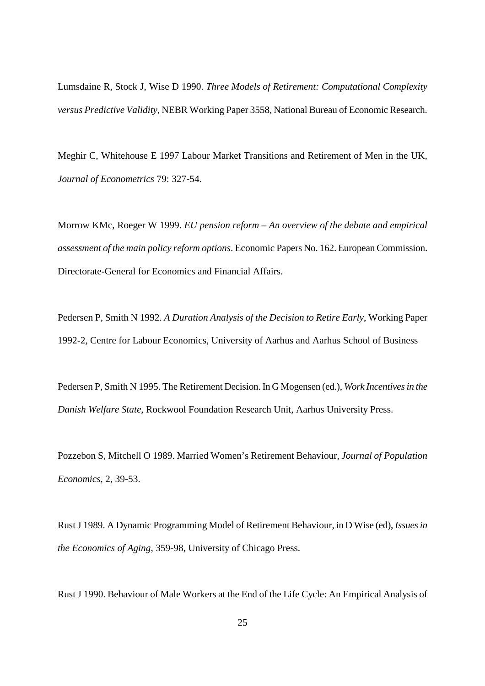Lumsdaine R, Stock J, Wise D 1990. *Three Models of Retirement: Computational Complexity versus Predictive Validity*, NEBR Working Paper 3558, National Bureau of Economic Research.

Meghir C, Whitehouse E 1997 Labour Market Transitions and Retirement of Men in the UK, *Journal of Econometrics* 79: 327-54.

Morrow KMc, Roeger W 1999. *EU pension reform – An overview of the debate and empirical assessment of the main policy reform options*. Economic Papers No. 162. European Commission. Directorate-General for Economics and Financial Affairs.

Pedersen P, Smith N 1992. *A Duration Analysis of the Decision to Retire Early*, Working Paper 1992-2, Centre for Labour Economics, University of Aarhus and Aarhus School of Business

Pedersen P, Smith N 1995. The Retirement Decision. In G Mogensen (ed.), *Work Incentives in the Danish Welfare State*, Rockwool Foundation Research Unit, Aarhus University Press.

Pozzebon S, Mitchell O 1989. Married Women's Retirement Behaviour, *Journal of Population Economics*, 2, 39-53.

Rust J 1989. A Dynamic Programming Model of Retirement Behaviour, in D Wise (ed), *Issues in the Economics of Aging*, 359-98, University of Chicago Press.

Rust J 1990. Behaviour of Male Workers at the End of the Life Cycle: An Empirical Analysis of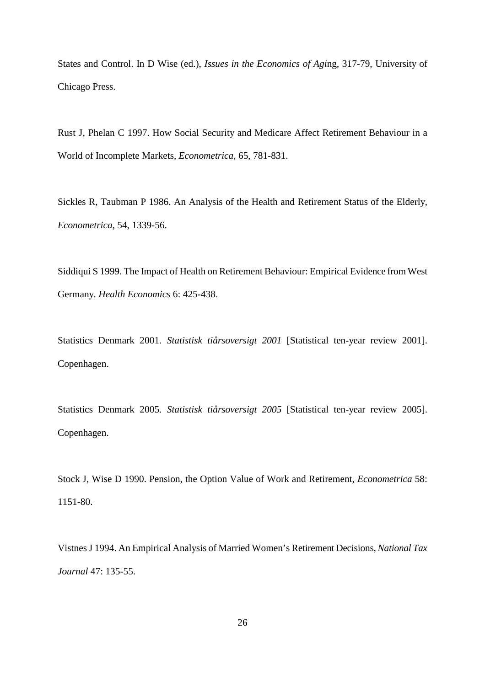States and Control. In D Wise (ed.), *Issues in the Economics of Agi*ng, 317-79, University of Chicago Press.

Rust J, Phelan C 1997. How Social Security and Medicare Affect Retirement Behaviour in a World of Incomplete Markets, *Econometrica*, 65, 781-831.

Sickles R, Taubman P 1986. An Analysis of the Health and Retirement Status of the Elderly, *Econometrica*, 54, 1339-56.

Siddiqui S 1999. The Impact of Health on Retirement Behaviour: Empirical Evidence from West Germany. *Health Economics* 6: 425-438.

Statistics Denmark 2001. *Statistisk tiårsoversigt 2001* [Statistical ten-year review 2001]. Copenhagen.

Statistics Denmark 2005. *Statistisk tiårsoversigt 2005* [Statistical ten-year review 2005]. Copenhagen.

Stock J, Wise D 1990. Pension, the Option Value of Work and Retirement, *Econometrica* 58: 1151-80.

Vistnes J 1994. An Empirical Analysis of Married Women's Retirement Decisions, *National Tax Journal* 47: 135-55.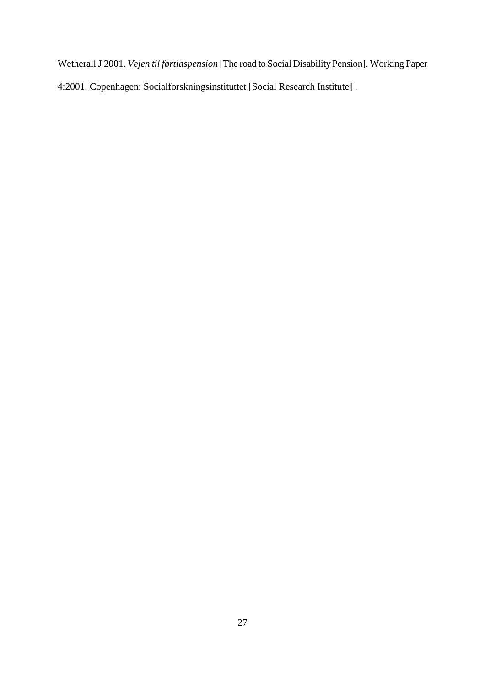Wetherall J 2001. *Vejen til førtidspension* [The road to Social Disability Pension]. Working Paper 4:2001. Copenhagen: Socialforskningsinstituttet [Social Research Institute] .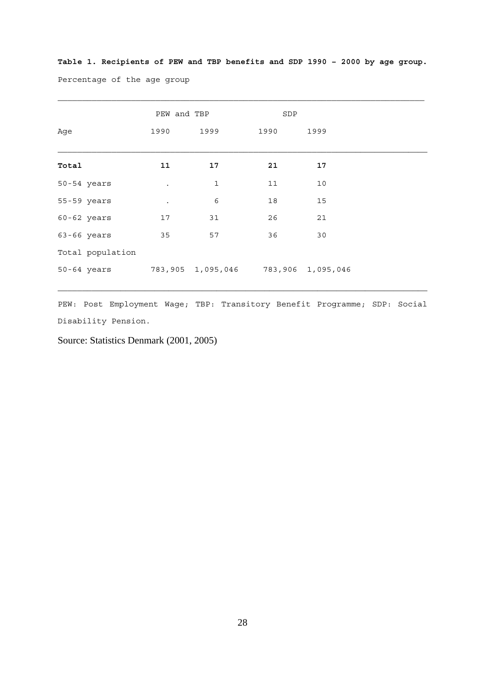**Table 1. Recipients of PEW and TBP benefits and SDP 1990 – 2000 by age group.** Percentage of the age group

 $\mathcal{L}_\text{max}$ 

|       |                  | PEW and TBP |                   | SDP  |                   |
|-------|------------------|-------------|-------------------|------|-------------------|
| Age   |                  | 1990        | 1999              | 1990 | 1999              |
| Total |                  | 11          | 17                | 21   | 17                |
|       | 50-54 years      |             | $\mathbf{1}$      | 11   | 10                |
|       | 55-59 years      |             | 6                 | 18   | 15                |
|       | 60-62 years      | 17          | 31                | 26   | 21                |
|       | $63 - 66$ years  | 35          | 57                | 36   | 30                |
|       | Total population |             |                   |      |                   |
|       | 50-64 years      |             | 783,905 1,095,046 |      | 783,906 1,095,046 |

PEW: Post Employment Wage; TBP: Transitory Benefit Programme; SDP: Social Disability Pension.

Source: Statistics Denmark (2001, 2005)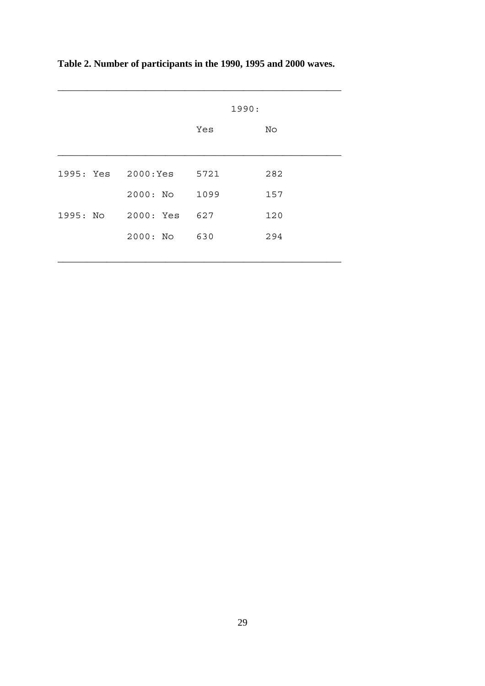|  |                    | 1990: |     |  |  |
|--|--------------------|-------|-----|--|--|
|  |                    | Yes   | No  |  |  |
|  | 1995: Yes 2000:Yes | 5721  | 282 |  |  |
|  | 2000: No           | 1099  | 157 |  |  |
|  | 1995: No 2000: Yes | 627   | 120 |  |  |
|  | $2000:$ No         | 630   | 294 |  |  |
|  |                    |       |     |  |  |

 $\mathcal{L}_\text{max} = \mathcal{L}_\text{max} = \mathcal{L}_\text{max} = \mathcal{L}_\text{max} = \mathcal{L}_\text{max} = \mathcal{L}_\text{max} = \mathcal{L}_\text{max}$ 

**Table 2. Number of participants in the 1990, 1995 and 2000 waves.**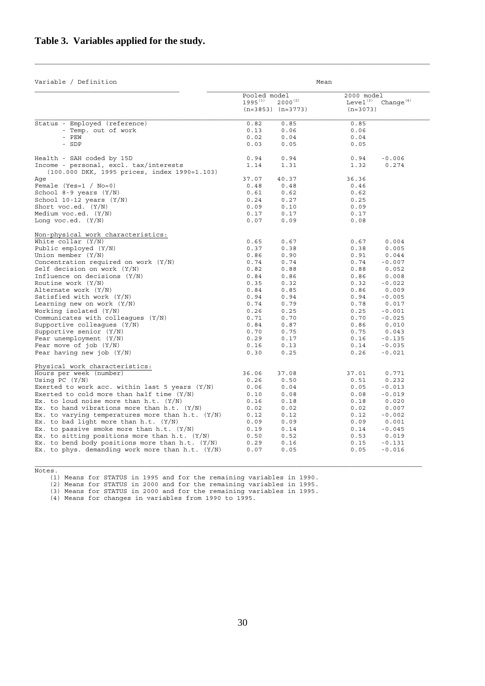# **Table 3. Variables applied for the study.**

| Variable / Definition                                                                  |                              |                                       | Mean                                             |              |
|----------------------------------------------------------------------------------------|------------------------------|---------------------------------------|--------------------------------------------------|--------------|
|                                                                                        | Pooled model<br>$1995^{(1)}$ | $2000^{(2)}$<br>$(n=3853)$ $(n=3773)$ | 2000 model<br>Level <sup>(3)</sup><br>$(n=3073)$ | Change $(4)$ |
| Status - Employed (reference)                                                          | 0.82                         | 0.85                                  | 0.85                                             |              |
| - Temp. out of work                                                                    | 0.13                         | 0.06                                  | 0.06                                             |              |
| - PEW                                                                                  | 0.02                         | 0.04                                  | 0.04                                             |              |
| - SDP                                                                                  | 0.03                         | 0.05                                  | 0.05                                             |              |
| Health - SAH coded by 15D                                                              | 0.94                         | 0.94                                  | 0.94                                             | $-0.006$     |
| Income - personal, excl. tax/interests<br>(100.000 DKK, 1995 prices, index 1990=1.103) | 1.14                         | 1.31                                  | 1.32                                             | 0.274        |
| Aqe                                                                                    | 37.07                        | 40.37                                 | 36.36                                            |              |
| Female (Yes=1 / $No=0$ )                                                               | 0.48                         | 0.48                                  | 0.46                                             |              |
| School 8-9 years $(Y/N)$                                                               | 0.61                         | 0.62                                  | 0.62                                             |              |
| School $10-12$ years $(Y/N)$                                                           | 0.24                         | 0.27                                  | 0.25                                             |              |
| Short voc.ed. $(Y/N)$                                                                  | 0.09                         | 0.10                                  | 0.09                                             |              |
| Medium $\text{voc.edu.}$ $(Y/N)$                                                       | 0.17                         | 0.17                                  | 0.17                                             |              |
| Long voc.ed. $(Y/N)$                                                                   | 0.07                         | 0.09                                  | 0.08                                             |              |
|                                                                                        |                              |                                       |                                                  |              |
| Non-physical work characteristics:<br>White collar $(Y/N)$                             | 0.65                         | 0.67                                  | 0.67                                             | 0.004        |
| Public employed $(Y/N)$                                                                | 0.37                         | 0.38                                  | 0.38                                             | 0.005        |
| Union member $(Y/N)$                                                                   | 0.86                         | 0.90                                  | 0.91                                             | 0.044        |
| Concentration required on work $(Y/N)$                                                 | 0.74                         | 0.74                                  | 0.74                                             | $-0.007$     |
| Self decision on work $(Y/N)$                                                          | 0.82                         | 0.88                                  | 0.88                                             | 0.052        |
| Influence on decisions $(Y/N)$                                                         | 0.84                         | 0.86                                  | 0.86                                             | 0.008        |
| Routine work $(Y/N)$                                                                   | 0.35                         | 0.32                                  | 0.32                                             | $-0.022$     |
| Alternate work (Y/N)                                                                   | 0.84                         | 0.85                                  | 0.86                                             | 0.009        |
| Satisfied with work $(Y/N)$                                                            | 0.94                         | 0.94                                  | 0.94                                             | $-0.005$     |
| Learning new on work $(Y/N)$                                                           | 0.74                         | 0.79                                  | 0.78                                             | 0.017        |
| Working isolated $(Y/N)$                                                               | 0.26                         | 0.25                                  | 0.25                                             | $-0.001$     |
| Communicates with colleagues $(Y/N)$                                                   | 0.71                         | 0.70                                  | 0.70                                             | $-0.025$     |
| Supportive colleagues $(Y/N)$                                                          | 0.84                         | 0.87                                  | 0.86                                             | 0.010        |
| Supportive senior $(Y/N)$                                                              | 0.70                         | 0.75                                  | 0.75                                             | 0.043        |
| Fear unemployment $(Y/N)$                                                              | 0.29                         | 0.17                                  | 0.16                                             | $-0.135$     |
| Fear move of $job (Y/N)$                                                               | 0.16                         | 0.13                                  | 0.14                                             | $-0.035$     |
| Fear having new job $(Y/N)$                                                            | 0.30                         | 0.25                                  | 0.26                                             | $-0.021$     |
| Physical work characteristics:                                                         |                              |                                       |                                                  |              |
| Hours per week (number)                                                                | 36.06                        | 37.08                                 | 37.01                                            | 0.771        |
| Using PC $(Y/N)$                                                                       | 0.26                         | 0.50                                  | 0.51                                             | 0.232        |
| Exerted to work acc. within last 5 years $(Y/N)$                                       | 0.06                         | 0.04                                  | 0.05                                             | $-0.013$     |
| Exerted to cold more than half time $(Y/N)$                                            | 0.10                         | 0.08                                  | 0.08                                             | $-0.019$     |
| Ex. to loud noise more than $h.t.$ $(Y/N)$                                             | 0.16                         | 0.18                                  | 0.18                                             | 0.020        |
| Ex. to hand vibrations more than h.t. $(Y/N)$                                          | 0.02                         | 0.02                                  | 0.02                                             | 0.007        |
| Ex. to varying temperatures more than h.t. $(Y/N)$                                     | 0.12                         | 0.12                                  | 0.12                                             | $-0.002$     |
| Ex. to bad light more than h.t. $(Y/N)$                                                | 0.09                         | 0.09                                  | 0.09                                             | 0.001        |
| Ex. to passive smoke more than $h.t.$ (Y/N)                                            | 0.19                         | 0.14                                  | 0.14                                             | $-0.045$     |
| Ex. to sitting positions more than $h.t.$ (Y/N)                                        | 0.50                         | 0.52                                  | 0.53                                             | 0.019        |
| Ex. to bend body positions more than $h.t.$ (Y/N)                                      | 0.29                         | 0.16                                  | 0.15                                             | $-0.131$     |
| Ex. to phys. demanding work more than h.t. $(Y/N)$                                     | 0.07                         | 0.05                                  | 0.05                                             | $-0.016$     |
|                                                                                        |                              |                                       |                                                  |              |

Notes.

(1) Means for STATUS in 1995 and for the remaining variables in 1990.

(2) Means for STATUS in 2000 and for the remaining variables in 1995.

(3) Means for STATUS in 2000 and for the remaining variables in 1995.

(4) Means for changes in variables from 1990 to 1995.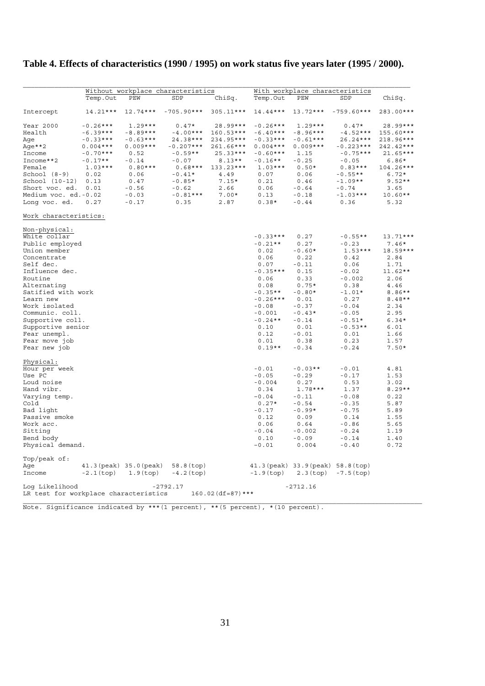# **Table 4. Effects of characteristics (1990 / 1995) on work status five years later (1995 / 2000).**

|                                                         | Without workplace characteristics |                         |              | With workplace characteristics |              |                                    |              |            |
|---------------------------------------------------------|-----------------------------------|-------------------------|--------------|--------------------------------|--------------|------------------------------------|--------------|------------|
|                                                         | Temp.Out                          | PEW                     | SDP          | ChiSq.                         | Temp.Out     | PEW                                | SDP          | ChiSq.     |
| Intercept                                               | 14.21***                          | $12.74***$              | $-705.90***$ | $305.11***$                    | 14.44***     | $13.72***$                         | $-759.60***$ | 283.00***  |
| Year 2000                                               | $-0.26***$                        | $1.29***$               | $0.47*$      | 28.99***                       | $-0.26***$   | $1.29***$                          | $0.47*$      | 28.99***   |
| Health                                                  | $-6.39***$                        | $-8.89***$              | $-4.00***$   | 160.53***                      | $-6.40***$   | $-8.96***$                         | $-4.52***$   | 155.60***  |
| Age                                                     | $-0.33***$                        | $-0.63***$              | 24.38***     | 234.95***                      | $-0.33***$   | $-0.61***$                         | $26.24***$   | 218.96***  |
| Age**2                                                  | $0.004***$                        | $0.009***$              | $-0.207***$  | 261.66***                      | $0.004***$   | $0.009***$                         | $-0.223***$  | 242.42***  |
| Income                                                  | $-0.70***$                        | 0.52                    | $-0.59**$    | $25.33***$                     | $-0.60***$   | 1.15                               | $-0.75***$   | $21.65***$ |
| Income**2                                               | $-0.17**$                         | $-0.14$                 | $-0.07$      | $8.13**$                       | $-0.16**$    | $-0.25$                            | $-0.05$      | $6.86*$    |
| Female                                                  | $1.03***$                         | $0.80***$               | $0.68***$    | 133.23***                      | $1.03***$    | $0.50*$                            | $0.83***$    | 104.26***  |
| School $(8-9)$                                          | 0.02                              | 0.06                    | $-0.41*$     | 4.49                           | 0.07         | 0.06                               | $-0.55**$    | $6.72*$    |
| School (10-12)                                          | 0.13                              | 0.47                    | $-0.85*$     | $7.15*$                        | 0.21         | 0.46                               | $-1.09**$    | $9.52**$   |
| Short voc. ed.                                          | 0.01                              | $-0.56$                 | $-0.62$      | 2.66                           | 0.06         | $-0.64$                            | $-0.74$      | 3.65       |
| Medium voc. ed.-0.02                                    |                                   | $-0.03$                 | $-0.81***$   | $7.00*$                        | 0.13         | $-0.18$                            | $-1.03***$   | $10.60**$  |
| Long voc. ed.                                           | 0.27                              | $-0.17$                 | 0.35         | 2.87                           | $0.38*$      | $-0.44$                            | 0.36         | 5.32       |
| Work characteristics:                                   |                                   |                         |              |                                |              |                                    |              |            |
| Non-physical:                                           |                                   |                         |              |                                |              |                                    |              |            |
| White collar                                            |                                   |                         |              |                                | $-0.33***$   | 0.27                               | $-0.55**$    | $13.71***$ |
| Public employed                                         |                                   |                         |              |                                | $-0.21**$    | 0.27                               | $-0.23$      | $7.46*$    |
| Union member                                            |                                   |                         |              |                                | 0.02         | $-0.60*$                           | $1.53***$    | 18.59***   |
| Concentrate                                             |                                   |                         |              |                                | 0.06         | 0.22                               | 0.42         | 2.84       |
| Self dec.                                               |                                   |                         |              |                                | 0.07         | $-0.11$                            | 0.06         | 1.71       |
| Influence dec.                                          |                                   |                         |              |                                | $-0.35***$   | 0.15                               | $-0.02$      | $11.62**$  |
| Routine                                                 |                                   |                         |              |                                | 0.06         | 0.33                               | $-0.002$     | 2.06       |
| Alternating                                             |                                   |                         |              |                                | 0.08         | $0.75*$                            | 0.38         | 4.46       |
| Satified with work                                      |                                   |                         |              |                                | $-0.35**$    | $-0.80*$                           | $-1.01*$     | 8.86**     |
| Learn new                                               |                                   |                         |              |                                | $-0.26***$   | 0.01                               | 0.27         | $8.48**$   |
| Work isolated                                           |                                   |                         |              |                                | $-0.08$      | $-0.37$                            | $-0.04$      | 2.34       |
| Communic. coll.                                         |                                   |                         |              |                                | $-0.001$     | $-0.43*$                           | $-0.05$      | 2.95       |
| Supportive coll.                                        |                                   |                         |              |                                | $-0.24**$    | $-0.14$                            | $-0.51*$     | $6.34*$    |
| Supportive senior                                       |                                   |                         |              |                                | 0.10         | 0.01                               | $-0.53**$    | 6.01       |
| Fear unempl.                                            |                                   |                         |              |                                | 0.12         | $-0.01$                            | 0.01         | 1.66       |
| Fear move job                                           |                                   |                         |              |                                | 0.01         | 0.38                               | 0.23         | 1.57       |
| Fear new job                                            |                                   |                         |              |                                | $0.19**$     | $-0.34$                            | $-0.24$      | $7.50*$    |
| Physical:                                               |                                   |                         |              |                                |              |                                    |              |            |
| Hour per week                                           |                                   |                         |              |                                | $-0.01$      | $-0.03**$                          | $-0.01$      | 4.81       |
| Use PC                                                  |                                   |                         |              |                                | $-0.05$      | $-0.29$                            | $-0.17$      | 1.53       |
| Loud noise                                              |                                   |                         |              |                                | $-0.004$     | 0.27                               | 0.53         | 3.02       |
| Hand vibr.                                              |                                   |                         |              |                                | 0.34         | $1.78***$                          | 1.37         | $8.29**$   |
| Varying temp.                                           |                                   |                         |              |                                | $-0.04$      | $-0.11$                            | $-0.08$      | 0.22       |
| Cold                                                    |                                   |                         |              |                                | $0.27*$      | $-0.54$                            | $-0.35$      | 5.87       |
| Bad light                                               |                                   |                         |              |                                | $-0.17$      | $-0.99*$                           | $-0.75$      | 5.89       |
| Passive smoke                                           |                                   |                         |              |                                | 0.12         | 0.09                               | 0.14         | 1.55       |
| Work acc.                                               |                                   |                         |              |                                | 0.06         | 0.64                               | $-0.86$      | 5.65       |
| Sitting                                                 |                                   |                         |              |                                | $-0.04$      | $-0.002$                           | $-0.24$      | 1.19       |
| Bend body                                               |                                   |                         |              |                                | 0.10         | $-0.09$                            | $-0.14$      | 1.40       |
| Physical demand.                                        |                                   |                         |              |                                | $-0.01$      | 0.004                              | $-0.40$      | 0.72       |
| Top/peak of:                                            |                                   |                         |              |                                |              |                                    |              |            |
| Age                                                     |                                   | 41.3 (peak) 35.0 (peak) | $58.8$ (top) |                                |              | 41.3 (peak) 33.9 (peak) 58.8 (top) |              |            |
| Income                                                  | $-2.1$ (top)                      | $1.9$ (top)             | $-4.2$ (top) |                                | $-1.9$ (top) | $2.3$ (top)                        | $-7.5$ (top) |            |
| Log Likelihood<br>LR test for workplace characteristics |                                   |                         | $-2792.17$   | $160.02$ (df=87) ***           |              | $-2712.16$                         |              |            |

Note. Significance indicated by \*\*\*(1 percent), \*\*(5 percent), \*(10 percent).